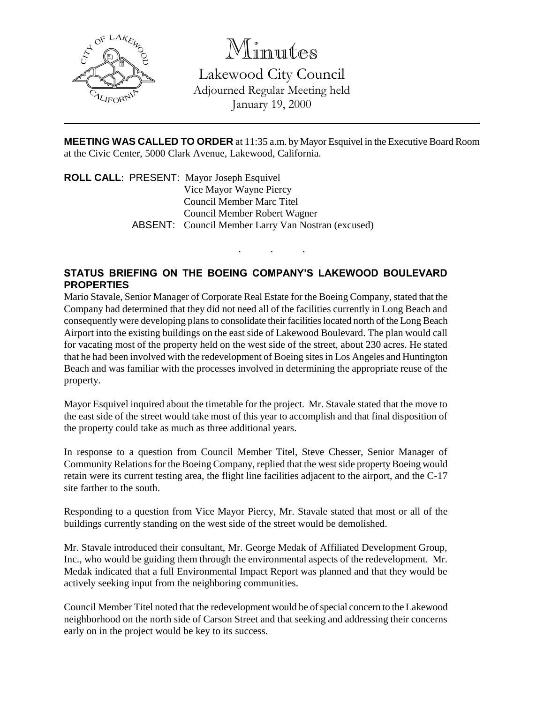

Minutes

Lakewood City Council Adjourned Regular Meeting held January 19, 2000

**MEETING WAS CALLED TO ORDER** at 11:35 a.m. by Mayor Esquivel in the Executive Board Room at the Civic Center, 5000 Clark Avenue, Lakewood, California.

. . .

**ROLL CALL**: PRESENT: Mayor Joseph Esquivel Vice Mayor Wayne Piercy Council Member Marc Titel Council Member Robert Wagner ABSENT: Council Member Larry Van Nostran (excused)

## **STATUS BRIEFING ON THE BOEING COMPANY'S LAKEWOOD BOULEVARD PROPERTIES**

Mario Stavale, Senior Manager of Corporate Real Estate for the Boeing Company, stated that the Company had determined that they did not need all of the facilities currently in Long Beach and consequently were developing plans to consolidate their facilities located north of the Long Beach Airport into the existing buildings on the east side of Lakewood Boulevard. The plan would call for vacating most of the property held on the west side of the street, about 230 acres. He stated that he had been involved with the redevelopment of Boeing sites in Los Angeles and Huntington Beach and was familiar with the processes involved in determining the appropriate reuse of the property.

Mayor Esquivel inquired about the timetable for the project. Mr. Stavale stated that the move to the east side of the street would take most of this year to accomplish and that final disposition of the property could take as much as three additional years.

In response to a question from Council Member Titel, Steve Chesser, Senior Manager of Community Relations for the Boeing Company, replied that the west side property Boeing would retain were its current testing area, the flight line facilities adjacent to the airport, and the C-17 site farther to the south.

Responding to a question from Vice Mayor Piercy, Mr. Stavale stated that most or all of the buildings currently standing on the west side of the street would be demolished.

Mr. Stavale introduced their consultant, Mr. George Medak of Affiliated Development Group, Inc., who would be guiding them through the environmental aspects of the redevelopment. Mr. Medak indicated that a full Environmental Impact Report was planned and that they would be actively seeking input from the neighboring communities.

Council Member Titel noted that the redevelopment would be of special concern to the Lakewood neighborhood on the north side of Carson Street and that seeking and addressing their concerns early on in the project would be key to its success.